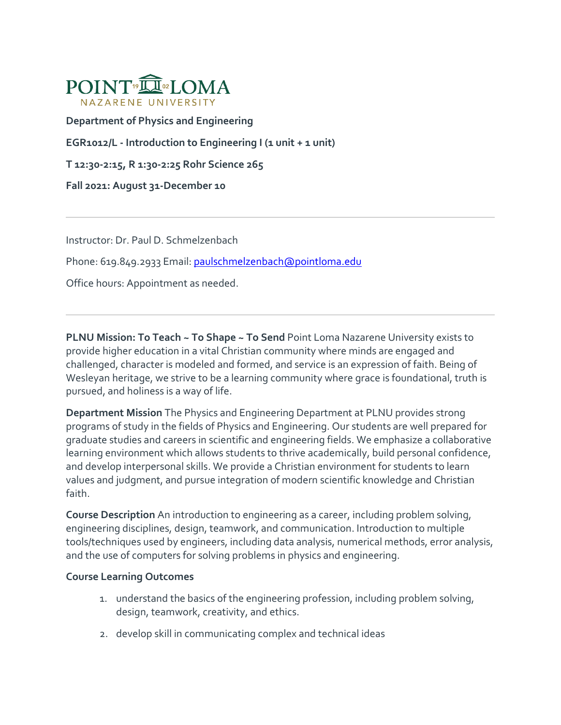

**Department of Physics and Engineering**

**EGR1012/L - Introduction to Engineering I (1 unit + 1 unit)** 

**T 12:30-2:15, R 1:30-2:25 Rohr Science 265**

**Fall 2021: August 31-December 10**

Instructor: Dr. Paul D. Schmelzenbach

Phone: 619.849.2933 Email: [paulschmelzenbach@pointloma.edu](mailto:paulschmelzenbach@pointloma.edu)

Office hours: Appointment as needed.

**PLNU Mission: To Teach ~ To Shape ~ To Send** Point Loma Nazarene University exists to provide higher education in a vital Christian community where minds are engaged and challenged, character is modeled and formed, and service is an expression of faith. Being of Wesleyan heritage, we strive to be a learning community where grace is foundational, truth is pursued, and holiness is a way of life.

**Department Mission** The Physics and Engineering Department at PLNU provides strong programs of study in the fields of Physics and Engineering. Our students are well prepared for graduate studies and careers in scientific and engineering fields. We emphasize a collaborative learning environment which allows students to thrive academically, build personal confidence, and develop interpersonal skills. We provide a Christian environment for students to learn values and judgment, and pursue integration of modern scientific knowledge and Christian faith.

**Course Description** An introduction to engineering as a career, including problem solving, engineering disciplines, design, teamwork, and communication. Introduction to multiple tools/techniques used by engineers, including data analysis, numerical methods, error analysis, and the use of computers for solving problems in physics and engineering.

## **Course Learning Outcomes**

- 1. understand the basics of the engineering profession, including problem solving, design, teamwork, creativity, and ethics.
- 2. develop skill in communicating complex and technical ideas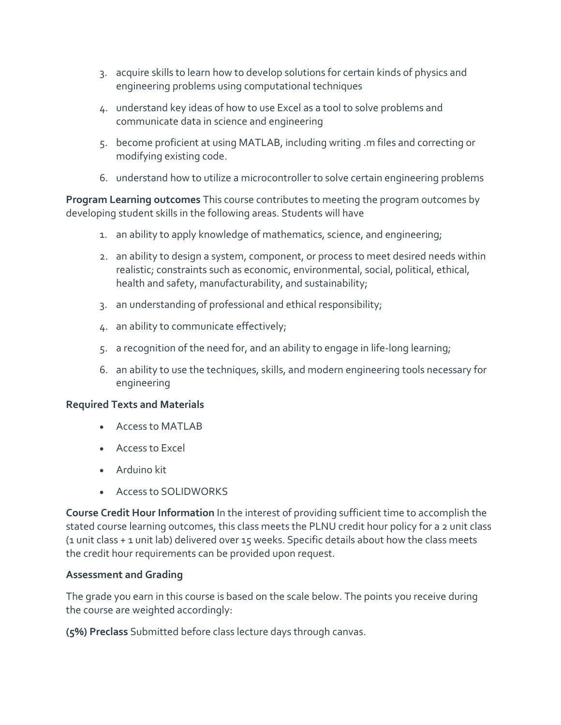- 3. acquire skills to learn how to develop solutions for certain kinds of physics and engineering problems using computational techniques
- 4. understand key ideas of how to use Excel as a tool to solve problems and communicate data in science and engineering
- 5. become proficient at using MATLAB, including writing .m files and correcting or modifying existing code.
- 6. understand how to utilize a microcontroller to solve certain engineering problems

**Program Learning outcomes** This course contributes to meeting the program outcomes by developing student skills in the following areas. Students will have

- 1. an ability to apply knowledge of mathematics, science, and engineering;
- 2. an ability to design a system, component, or process to meet desired needs within realistic; constraints such as economic, environmental, social, political, ethical, health and safety, manufacturability, and sustainability;
- 3. an understanding of professional and ethical responsibility;
- 4. an ability to communicate effectively;
- 5. a recognition of the need for, and an ability to engage in life-long learning;
- 6. an ability to use the techniques, skills, and modern engineering tools necessary for engineering

## **Required Texts and Materials**

- Access to MATLAB
- Access to Excel
- Arduino kit
- Access to SOLIDWORKS

**Course Credit Hour Information** In the interest of providing sufficient time to accomplish the stated course learning outcomes, this class meets the PLNU credit hour policy for a 2 unit class (1 unit class + 1 unit lab) delivered over 15 weeks. Specific details about how the class meets the credit hour requirements can be provided upon request.

## **Assessment and Grading**

The grade you earn in this course is based on the scale below. The points you receive during the course are weighted accordingly:

**(5%) Preclass** Submitted before class lecture days through canvas.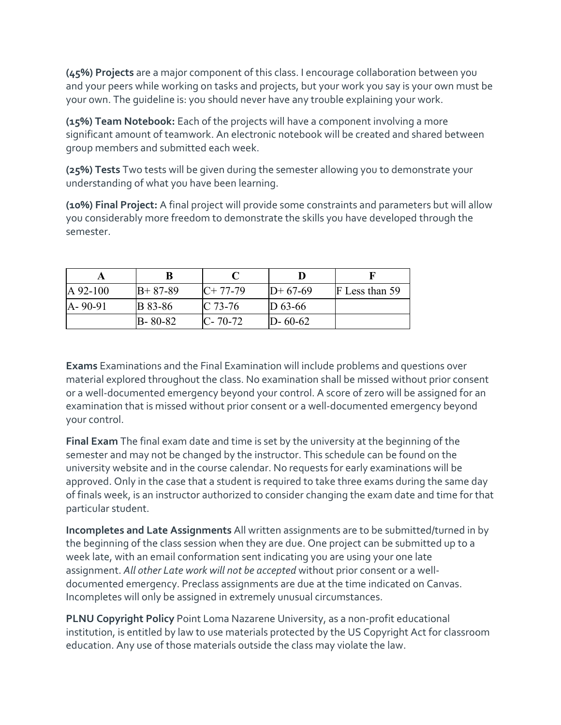**(45%) Projects** are a major component of this class. I encourage collaboration between you and your peers while working on tasks and projects, but your work you say is your own must be your own. The guideline is: you should never have any trouble explaining your work.

**(15%) Team Notebook:** Each of the projects will have a component involving a more significant amount of teamwork. An electronic notebook will be created and shared between group members and submitted each week.

**(25%) Tests** Two tests will be given during the semester allowing you to demonstrate your understanding of what you have been learning.

**(10%) Final Project:** A final project will provide some constraints and parameters but will allow you considerably more freedom to demonstrate the skills you have developed through the semester.

| $\vert A \, 92 - 100 \vert$ | $B+87-89$      | $IC+ 77-79$   | $ID+67-69$    | F Less than 59 |
|-----------------------------|----------------|---------------|---------------|----------------|
| $[A - 90 - 91]$             | <b>B</b> 83-86 | $IC$ 73-76    | $D_{63-66}$   |                |
|                             | $B - 80 - 82$  | $C - 70 - 72$ | $D - 60 - 62$ |                |

**Exams** Examinations and the Final Examination will include problems and questions over material explored throughout the class. No examination shall be missed without prior consent or a well-documented emergency beyond your control. A score of zero will be assigned for an examination that is missed without prior consent or a well-documented emergency beyond your control.

**Final Exam** The final exam date and time is set by the university at the beginning of the semester and may not be changed by the instructor. This schedule can be found on the university website and in the course calendar. No requests for early examinations will be approved. Only in the case that a student is required to take three exams during the same day of finals week, is an instructor authorized to consider changing the exam date and time for that particular student.

**Incompletes and Late Assignments** All written assignments are to be submitted/turned in by the beginning of the class session when they are due. One project can be submitted up to a week late, with an email conformation sent indicating you are using your one late assignment. *All other Late work will not be accepted* without prior consent or a welldocumented emergency. Preclass assignments are due at the time indicated on Canvas. Incompletes will only be assigned in extremely unusual circumstances.

**PLNU Copyright Policy** Point Loma Nazarene University, as a non-profit educational institution, is entitled by law to use materials protected by the US Copyright Act for classroom education. Any use of those materials outside the class may violate the law.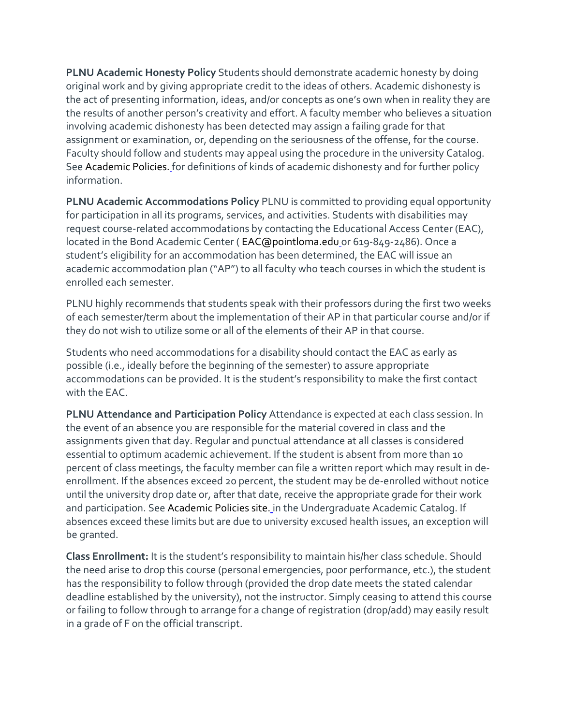**PLNU Academic Honesty Policy** Students should demonstrate academic honesty by doing original work and by giving appropriate credit to the ideas of others. Academic dishonesty is the act of presenting information, ideas, and/or concepts as one's own when in reality they are the results of another person's creativity and effort. A faculty member who believes a situation involving academic dishonesty has been detected may assign a failing grade for that assignment or examination, or, depending on the seriousness of the offense, for the course. Faculty should follow and students may appeal using the procedure in the university Catalog. See [Academic Policies.](http://catalog.pointloma.edu/content.php?catoid=18&navoid=1278) for definitions of kinds of academic dishonesty and for further policy information.

**PLNU Academic Accommodations Policy** PLNU is committed to providing equal opportunity for participation in all its programs, services, and activities. Students with disabilities may request course-related accommodations by contacting the Educational Access Center (EAC), located in the Bond Academic Center ( [EAC@pointloma.edu](mailto:EAC@pointloma.edu) or 619-849-2486). Once a student's eligibility for an accommodation has been determined, the EAC will issue an academic accommodation plan ("AP") to all faculty who teach courses in which the student is enrolled each semester.

PLNU highly recommends that students speak with their professors during the first two weeks of each semester/term about the implementation of their AP in that particular course and/or if they do not wish to utilize some or all of the elements of their AP in that course.

Students who need accommodations for a disability should contact the EAC as early as possible (i.e., ideally before the beginning of the semester) to assure appropriate accommodations can be provided. It is the student's responsibility to make the first contact with the EAC.

**PLNU Attendance and Participation Policy** Attendance is expected at each class session. In the event of an absence you are responsible for the material covered in class and the assignments given that day. Regular and punctual attendance at all classes is considered essential to optimum academic achievement. If the student is absent from more than 10 percent of class meetings, the faculty member can file a written report which may result in deenrollment. If the absences exceed 20 percent, the student may be de-enrolled without notice until the university drop date or, after that date, receive the appropriate grade for their work and participation. See [Academic Policies site.](https://catalog.pointloma.edu/content.php?catoid=46&navoid=2650#Class_Attendance) in the Undergraduate Academic Catalog. If absences exceed these limits but are due to university excused health issues, an exception will be granted.

**Class Enrollment:** It is the student's responsibility to maintain his/her class schedule. Should the need arise to drop this course (personal emergencies, poor performance, etc.), the student has the responsibility to follow through (provided the drop date meets the stated calendar deadline established by the university), not the instructor. Simply ceasing to attend this course or failing to follow through to arrange for a change of registration (drop/add) may easily result in a grade of F on the official transcript.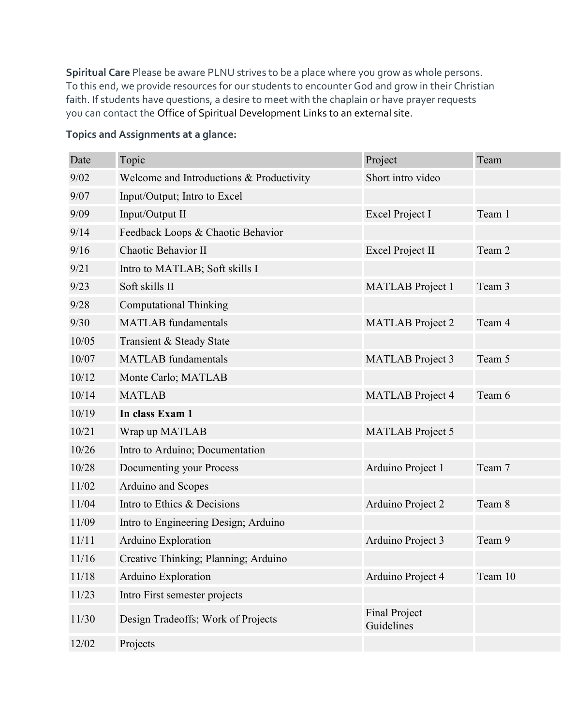**Spiritual Care** Please be aware PLNU strives to be a place where you grow as whole persons. To this end, we provide resources for our students to encounter God and grow in their Christian faith. If students have questions, a desire to meet with the chaplain or have prayer requests you can contact the [Office of Spiritual Development Links to an external site.](https://www.pointloma.edu/offices/spiritual-development)

| Date  | Topic                                    | Project                            | Team    |
|-------|------------------------------------------|------------------------------------|---------|
| 9/02  | Welcome and Introductions & Productivity | Short intro video                  |         |
| 9/07  | Input/Output; Intro to Excel             |                                    |         |
| 9/09  | Input/Output II                          | Excel Project I                    | Team 1  |
| 9/14  | Feedback Loops & Chaotic Behavior        |                                    |         |
| 9/16  | Chaotic Behavior II                      | <b>Excel Project II</b>            | Team 2  |
| 9/21  | Intro to MATLAB; Soft skills I           |                                    |         |
| 9/23  | Soft skills II                           | <b>MATLAB</b> Project 1            | Team 3  |
| 9/28  | <b>Computational Thinking</b>            |                                    |         |
| 9/30  | <b>MATLAB</b> fundamentals               | <b>MATLAB</b> Project 2            | Team 4  |
| 10/05 | Transient & Steady State                 |                                    |         |
| 10/07 | <b>MATLAB</b> fundamentals               | <b>MATLAB</b> Project 3            | Team 5  |
| 10/12 | Monte Carlo; MATLAB                      |                                    |         |
| 10/14 | <b>MATLAB</b>                            | <b>MATLAB</b> Project 4            | Team 6  |
| 10/19 | In class Exam 1                          |                                    |         |
| 10/21 | Wrap up MATLAB                           | <b>MATLAB</b> Project 5            |         |
| 10/26 | Intro to Arduino; Documentation          |                                    |         |
| 10/28 | Documenting your Process                 | Arduino Project 1                  | Team 7  |
| 11/02 | Arduino and Scopes                       |                                    |         |
| 11/04 | Intro to Ethics & Decisions              | Arduino Project 2                  | Team 8  |
| 11/09 | Intro to Engineering Design; Arduino     |                                    |         |
| 11/11 | Arduino Exploration                      | Arduino Project 3                  | Team 9  |
| 11/16 | Creative Thinking; Planning; Arduino     |                                    |         |
| 11/18 | Arduino Exploration                      | Arduino Project 4                  | Team 10 |
| 11/23 | Intro First semester projects            |                                    |         |
| 11/30 | Design Tradeoffs; Work of Projects       | <b>Final Project</b><br>Guidelines |         |
| 12/02 | Projects                                 |                                    |         |

## **Topics and Assignments at a glance:**